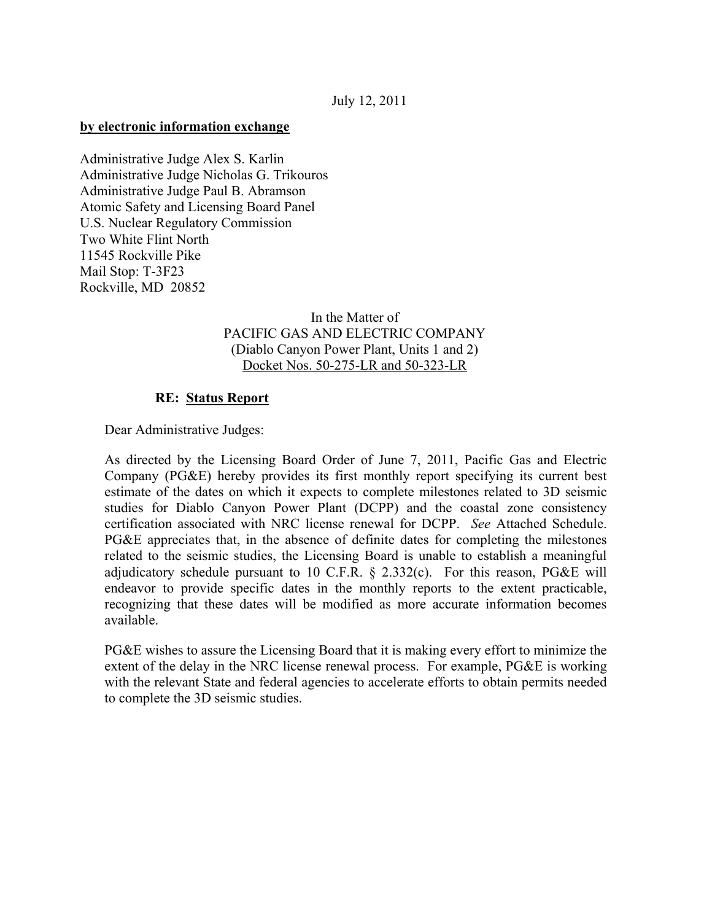## **by electronic information exchange**

Administrative Judge Alex S. Karlin Administrative Judge Nicholas G. Trikouros Administrative Judge Paul B. Abramson Atomic Safety and Licensing Board Panel U.S. Nuclear Regulatory Commission Two White Flint North 11545 Rockville Pike Mail Stop: T-3F23 Rockville, MD 20852

## In the Matter of PACIFIC GAS AND ELECTRIC COMPANY (Diablo Canyon Power Plant, Units 1 and 2) Docket Nos. 50-275-LR and 50-323-LR

## **RE: Status Report**

Dear Administrative Judges:

As directed by the Licensing Board Order of June 7, 2011, Pacific Gas and Electric Company (PG&E) hereby provides its first monthly report specifying its current best estimate of the dates on which it expects to complete milestones related to 3D seismic studies for Diablo Canyon Power Plant (DCPP) and the coastal zone consistency certification associated with NRC license renewal for DCPP. *See* Attached Schedule. PG&E appreciates that, in the absence of definite dates for completing the milestones related to the seismic studies, the Licensing Board is unable to establish a meaningful adjudicatory schedule pursuant to 10 C.F.R.  $\S$  2.332(c). For this reason, PG&E will endeavor to provide specific dates in the monthly reports to the extent practicable, recognizing that these dates will be modified as more accurate information becomes available.

PG&E wishes to assure the Licensing Board that it is making every effort to minimize the extent of the delay in the NRC license renewal process. For example, PG&E is working with the relevant State and federal agencies to accelerate efforts to obtain permits needed to complete the 3D seismic studies.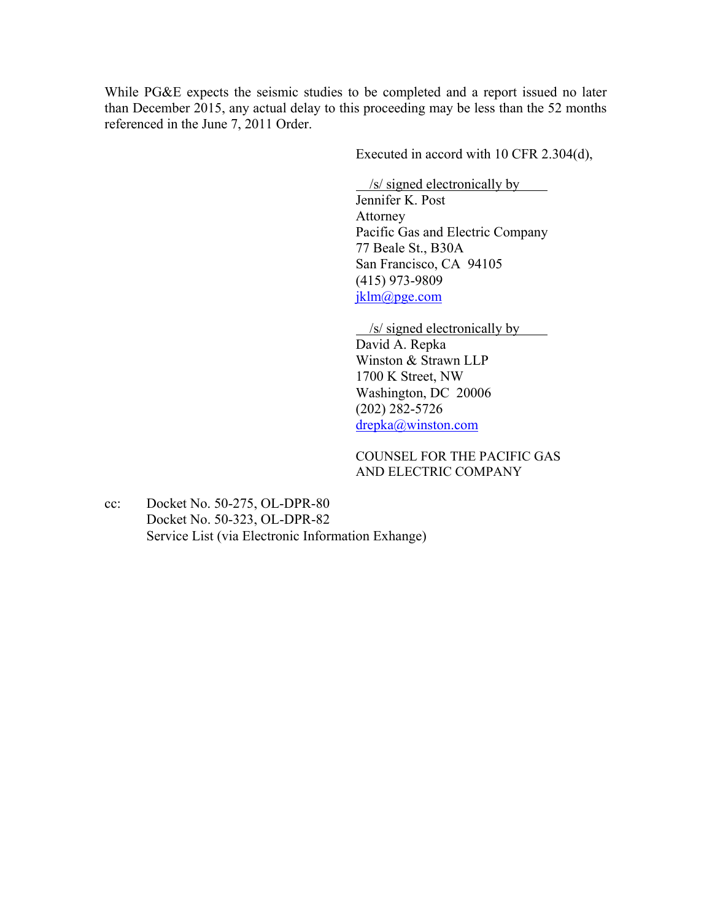While PG&E expects the seismic studies to be completed and a report issued no later than December 2015, any actual delay to this proceeding may be less than the 52 months referenced in the June 7, 2011 Order.

Executed in accord with 10 CFR 2.304(d),

/s/ signed electronically by

Jennifer K. Post Attorney Pacific Gas and Electric Company 77 Beale St., B30A San Francisco, CA 94105 (415) 973-9809 jklm@pge.com

/s/ signed electronically by

David A. Repka Winston & Strawn LLP 1700 K Street, NW Washington, DC 20006 (202) 282-5726 drepka@winston.com

COUNSEL FOR THE PACIFIC GAS AND ELECTRIC COMPANY

cc: Docket No. 50-275, OL-DPR-80 Docket No. 50-323, OL-DPR-82 Service List (via Electronic Information Exhange)